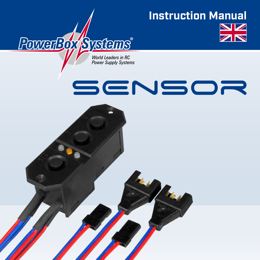## **Instruction Manual**



World Leaders in RC **Power Supply Systems** 

**PowerBox Systems** 

# **SENSOR**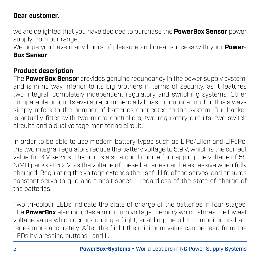#### **Dear customer,**

we are delighted that you have decided to purchase the **PowerBox Sensor** power supply from our range.

We hope you have many hours of pleasure and great success with your **Power-Box Sensor**.

#### **Product description**

The **PowerBox Sensor** provides genuine redundancy in the power supply system, and is in no way inferior to its big brothers in terms of security, as it features two integral, completely independent regulatory and switching systems. Other comparable products available commercially boast of duplication, but this always simply refers to the number of batteries connected to the system. Our backer is actually fitted with two micro-controllers, two regulatory circuits, two switch circuits and a dual voltage monitoring circuit.

In order to be able to use modern battery types such as LiPo/LiIon and LiFePo, the two integral regulators reduce the battery voltage to 5.9 V, which is the correct value for 6 V servos. The unit is also a good choice for capping the voltage of 5S NiMH packs at 5.9 V, as the voltage of these batteries can be excessive when fully charged. Regulating the voltage extends the useful life of the servos, and ensures constant servo torque and transit speed - regardless of the state of charge of the batteries.

Two tri-colour LEDs indicate the state of charge of the batteries in four stages. The **PowerBox** also includes a minimum voltage memory which stores the lowest voltage value which occurs during a flight, enabling the pilot to monitor his batteries more accurately. After the flight the minimum value can be read from the LEDs by pressing buttons I and II.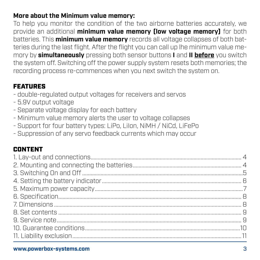#### **More about the Minimum value memory:**

To help you monitor the condition of the two airborne batteries accurately, we provide an additional **minimum value memory (low voltage memory)** for both batteries. This **minimum value memory** records all voltage collapses of both batteries during the last flight. After the flight you can call up lhe minimum value memory by **simultaneously** pressing both sensor buttons **I** and **II before** you switch the system off. Switching off the power supply system resets both memories; the recording process re-commences when you next switch the system on.

#### FEATURES

- double-regulated output voltages for receivers and servos
- 5.9V output voltage
- Separate voltage display for each battery
- Minimum value memory alerts the user to voltage collapses
- Support for four battery types: LiPo, LiIon, NiMH / NiCd, LiFePo
- Suppression of any servo feedback currents which may occur

#### CONTENT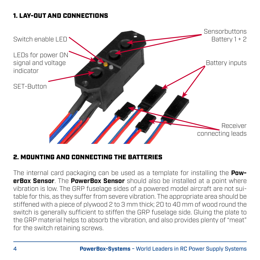#### 1. LAY-OUT AND CONNECTIONS



#### 2. MOUNTING AND CONNECTING THE BATTERIES

The internal card packaging can be used as a template for installing the **PowerBox Sensor**. The **PowerBox Sensor** should also be installed at a point where vibration is low. The GRP fuselage sides of a powered model aircraft are not suitable for this, as they suffer from severe vibration. The appropriate area should be stiffened with a piece of plywood 2 to 3 mm thick; 20 to 40 mm of wood round the switch is generally sufficient to stiffen the GRP fuselage side. Gluing the plate to the GRP material helps to absorb the vibration, and also provides plenty of "meat" for the switch retaining screws.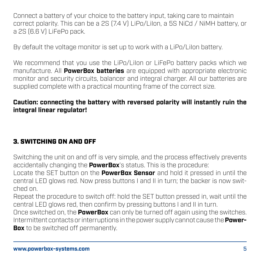Connect a battery of your choice to the battery input, taking care to maintain correct polarity. This can be a 2S (7.4 V) LiPo/LiIon, a 5S NiCd / NiMH battery, or a 2S (6.6 V) LiFePo pack.

By default the voltage monitor is set up to work with a LiPo/LiIon battery.

We recommend that you use the LiPo/LiIon or LiFePo battery packs which we manufacture. All **PowerBox batteries** are equipped with appropriate electronic monitor and security circuits, balancer and integral charger. All our batteries are supplied complete with a practical mounting frame of the correct size.

#### **Caution: connecting the battery with reversed polarity will instantly ruin the integral linear regulator!**

#### 3. SWITCHING ON AND OFF

Switching the unit on and off is very simple, and the process effectively prevents accidentally changing the **PowerBox**'s status. This is the procedure:

Locate the SET button on the **PowerBox Sensor** and hold it pressed in until the central LED glows red. Now press buttons I and II in turn; the backer is now switched on.

Repeat the procedure to switch off: hold the SET button pressed in, wait until the central LED glows red, then confirm by pressing buttons I and II in turn. Once switched on, the **PowerBox** can only be turned off again using the switches.

Intermittent contacts or interruptions in the power supply cannot cause the **Power-Box** to be switched off permanently.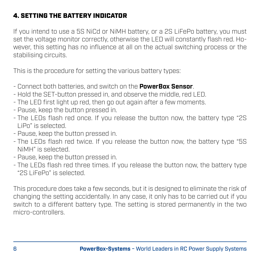#### 4. SETTING THE BATTERY INDICATOR

If you intend to use a 5S NiCd or NiMH battery, or a 2S LiFePo battery, you must set the voltage monitor correctly, otherwise the LED will constantly flash red. However, this setting has no influence at all on the actual switching process or the stabilising circuits.

This is the procedure for setting the various battery types:

- Connect both batteries, and switch on the **PowerBox Sensor**.
- Hold the SET-button pressed in, and observe the middle, red LED.
- The LED first light up red, then go out again after a few moments.
- Pause, keep the button pressed in.
- The LEDs flash red once. If you release the button now, the battery type "2S LiPo" is selected.
- Pause, keep the button pressed in.
- The LEDs flash red twice. If you release the button now, the battery type "5S NiMH" is selected.
- Pause, keep the button pressed in.
- The LEDs flash red three times. If you release the button now, the battery type "2S LiFePo" is selected.

This procedure does take a few seconds, but it is designed to eliminate the risk of changing the setting accidentally. In any case, it only has to be carried out if you switch to a different battery type. The setting is stored permanently in the two micro-controllers.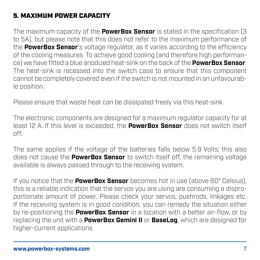#### 5. MAXIMUM POWER CAPACITY

The maximum capacity of the **PowerBox Sensor** is stated in the specification (3 to 5A), but please note that this does not refer to the maximum performance of the **PowerBox Sensor**'s voltage regulator, as it varies according to the efficiency of the cooling measures. To achieve good cooling (and therefore high performance) we have fitted a blue anodized heat-sink on the back of the **PowerBox Sensor**. The heat-sink is recessed into the switch case to ensure that this component cannot be completely covered even if the switch is not mounted in an unfavourable position.

Please ensure that waste heat can be dissipated freely via this heat-sink.

The electronic components are designed for a maximum regulator capacity for at least 12 A. If this level is exceeded, the **PowerBox Sensor** does not switch itself off.

The same applies if the voltage of the batteries falls below 5.9 Volts; this also does not cause the **PowerBox Sensor** to switch itself off, the remaining voltage available is always passed through to the receiving system.

If you notice that the **PowerBox Sensor** becomes hot in use (above 60° Celsius), this is a reliable indication that the servos you are using are consuming a disproportionate amount of power. Please check your servos, pushrods, linkages etc. If the receiving system is in good condition, you can remedy the situation either by re-positioning the **PowerBox Sensor** in a location with a better air-flow, or by replacing the unit with a **PowerBox Gemini II** or **BaseLog**, which are designed for higher-current applications.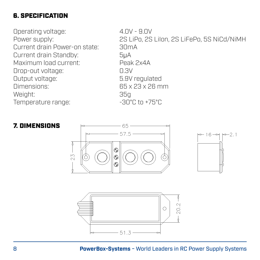#### 6. SPECIFICATION

Operating voltage:  $4.0V - 9.0V$ <br>Power supply:  $2S$  LiPo, 2S Current drain Power-on state: Current drain Standby: 5μA Maximum load current: Peak 2x4A<br>Dron-out voltage: D.3V Drop-out voltage: 0.3V Output voltage: Dimensions: 65 x 23 x 26 mm Weight: 35g<br>Temperature range: 350 = 30°C to +75°C Temperature range:

2S LiPo, 2S LiIon, 2S LiFePo, 5S NiCd/NiMH<br>30mA





#### 8 **PowerBox-Systems** − World Leaders in RC Power Supply Systems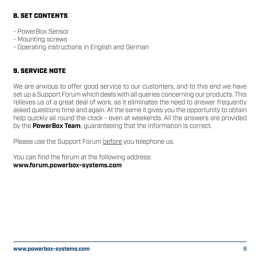#### 8. SET CONTENTS

- PowerBox Sensor
- Mounting screws
- Operating instructions in English and German

#### 9. SERVICE NOTE

We are anxious to offer good service to our customers, and to this end we have set up a Support Forum which deals with all queries concerning our products. This relieves us of a great deal of work, as it eliminates the need to answer frequently asked questions time and again. At the same it gives you the opportunity to obtain help quickly all round the clock - even at weekends. All the answers are provided by the **PowerBox Team**, guaranteeing that the information is correct.

Please use the Support Forum before you telephone us.

You can find the forum at the following address: **www.forum.powerbox-systems.com**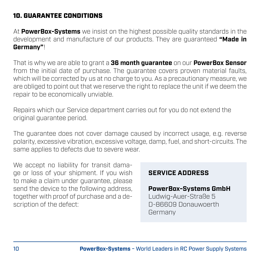#### 10. GUARANTEE CONDITIONS

At **PowerBox-Systems** we insist on the highest possible quality standards in the development and manufacture of our products. They are guaranteed **"Made in Germany"**!

That is why we are able to grant a **36 month guarantee** on our **PowerBox Sensor** from the initial date of purchase. The guarantee covers proven material faults, which will be corrected by us at no charge to you. As a precautionary measure, we are obliged to point out that we reserve the right to replace the unit if we deem the repair to be economically unviable.

Repairs which our Service department carries out for you do not extend the original guarantee period.

The guarantee does not cover damage caused by incorrect usage, e.g. reverse polarity, excessive vibration, excessive voltage, damp, fuel, and short-circuits. The same applies to defects due to severe wear.

We accept no liability for transit damage or loss of your shipment. If you wish to make a claim under guarantee, please send the device to the following address, together with proof of purchase and a description of the defect:

#### **SERVICE ADDRESS**

#### **PowerBox-Systems GmbH**

Ludwig-Auer-Straße 5 D-86609 Donauwoerth Germany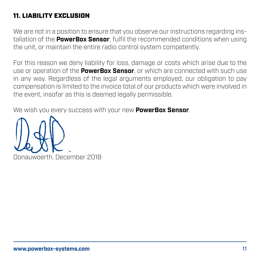#### 11. LIABILITY EXCLUSION

We are not in a position to ensure that you observe our instructions regarding installation of the **PowerBox Sensor**, fulfil the recommended conditions when using the unit, or maintain the entire radio control system competently.

For this reason we deny liability for loss, damage or costs which arise due to the use or operation of the **PowerBox Sensor**, or which are connected with such use in any way. Regardless of the legal arguments employed, our obligation to pay compensation is limited to the invoice total of our products which were involved in the event, insofar as this is deemed legally permissible.

We wish you every success with your new **PowerBox Sensor**.



Donauwoerth, December 2018